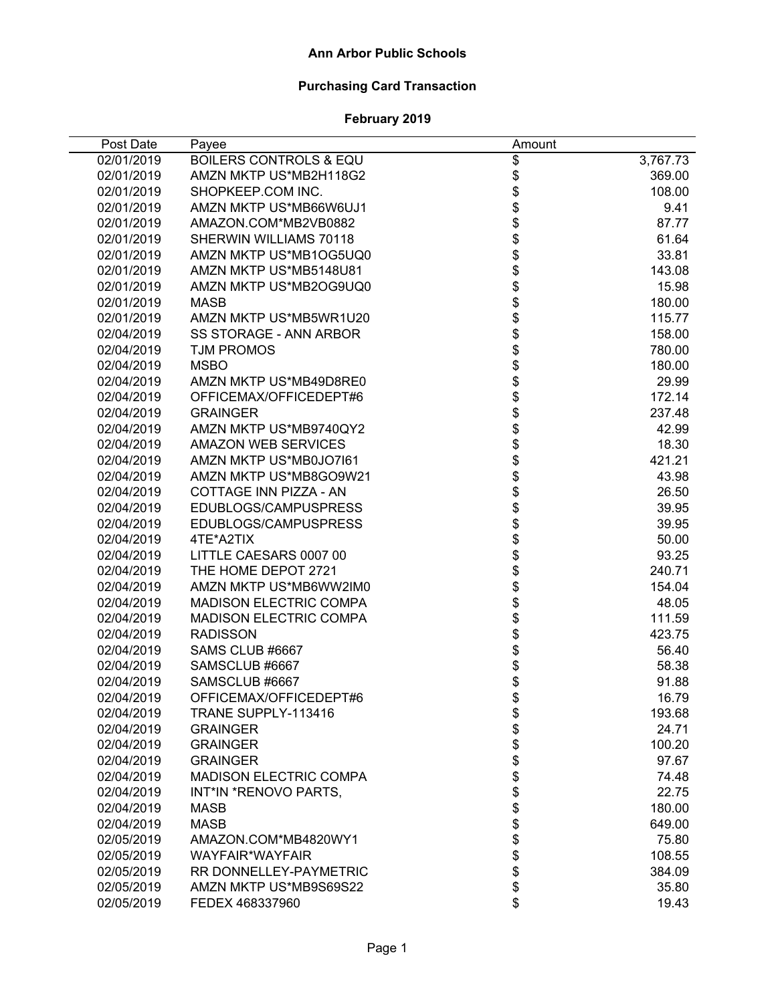#### **Ann Arbor Public Schools**

# **Purchasing Card Transaction**

| Post Date  | Payee                             | Amount                                               |          |
|------------|-----------------------------------|------------------------------------------------------|----------|
| 02/01/2019 | <b>BOILERS CONTROLS &amp; EQU</b> | \$                                                   | 3,767.73 |
| 02/01/2019 | AMZN MKTP US*MB2H118G2            | \$                                                   | 369.00   |
| 02/01/2019 | SHOPKEEP.COM INC.                 | \$                                                   | 108.00   |
| 02/01/2019 | AMZN MKTP US*MB66W6UJ1            |                                                      | 9.41     |
| 02/01/2019 | AMAZON.COM*MB2VB0882              |                                                      | 87.77    |
| 02/01/2019 | SHERWIN WILLIAMS 70118            |                                                      | 61.64    |
| 02/01/2019 | AMZN MKTP US*MB1OG5UQ0            |                                                      | 33.81    |
| 02/01/2019 | AMZN MKTP US*MB5148U81            |                                                      | 143.08   |
| 02/01/2019 | AMZN MKTP US*MB2OG9UQ0            |                                                      | 15.98    |
| 02/01/2019 | <b>MASB</b>                       |                                                      | 180.00   |
| 02/01/2019 | AMZN MKTP US*MB5WR1U20            | <b>おおおおおおおおお</b>                                     | 115.77   |
| 02/04/2019 | SS STORAGE - ANN ARBOR            |                                                      | 158.00   |
| 02/04/2019 | <b>TJM PROMOS</b>                 |                                                      | 780.00   |
| 02/04/2019 | <b>MSBO</b>                       |                                                      | 180.00   |
| 02/04/2019 | AMZN MKTP US*MB49D8RE0            |                                                      | 29.99    |
| 02/04/2019 | OFFICEMAX/OFFICEDEPT#6            |                                                      | 172.14   |
| 02/04/2019 | <b>GRAINGER</b>                   |                                                      | 237.48   |
| 02/04/2019 | AMZN MKTP US*MB9740QY2            |                                                      | 42.99    |
| 02/04/2019 | <b>AMAZON WEB SERVICES</b>        |                                                      | 18.30    |
| 02/04/2019 | AMZN MKTP US*MB0JO7I61            |                                                      | 421.21   |
| 02/04/2019 | AMZN MKTP US*MB8GO9W21            |                                                      | 43.98    |
| 02/04/2019 | COTTAGE INN PIZZA - AN            | \$\$\$\$\$\$\$\$\$\$\$\$\$\$\$\$\$\$\$\$\$\$\$\$\$\$ | 26.50    |
| 02/04/2019 | EDUBLOGS/CAMPUSPRESS              |                                                      | 39.95    |
| 02/04/2019 | EDUBLOGS/CAMPUSPRESS              |                                                      | 39.95    |
| 02/04/2019 | 4TE*A2TIX                         |                                                      | 50.00    |
| 02/04/2019 | LITTLE CAESARS 0007 00            |                                                      | 93.25    |
| 02/04/2019 | THE HOME DEPOT 2721               |                                                      | 240.71   |
| 02/04/2019 | AMZN MKTP US*MB6WW2IM0            |                                                      | 154.04   |
| 02/04/2019 | <b>MADISON ELECTRIC COMPA</b>     |                                                      | 48.05    |
| 02/04/2019 | <b>MADISON ELECTRIC COMPA</b>     |                                                      | 111.59   |
| 02/04/2019 | <b>RADISSON</b>                   |                                                      | 423.75   |
| 02/04/2019 | SAMS CLUB #6667                   |                                                      | 56.40    |
| 02/04/2019 | SAMSCLUB #6667                    |                                                      | 58.38    |
| 02/04/2019 | SAMSCLUB #6667                    |                                                      | 91.88    |
| 02/04/2019 | OFFICEMAX/OFFICEDEPT#6            | \$                                                   | 16.79    |
| 02/04/2019 | TRANE SUPPLY-113416               |                                                      | 193.68   |
| 02/04/2019 | <b>GRAINGER</b>                   | \$                                                   | 24.71    |
| 02/04/2019 | <b>GRAINGER</b>                   | \$                                                   | 100.20   |
| 02/04/2019 | <b>GRAINGER</b>                   | \$                                                   | 97.67    |
| 02/04/2019 | <b>MADISON ELECTRIC COMPA</b>     | \$                                                   | 74.48    |
| 02/04/2019 | INT*IN *RENOVO PARTS,             | \$                                                   | 22.75    |
| 02/04/2019 | MASB                              | \$                                                   | 180.00   |
| 02/04/2019 | <b>MASB</b>                       | \$                                                   | 649.00   |
| 02/05/2019 | AMAZON.COM*MB4820WY1              | \$                                                   | 75.80    |
| 02/05/2019 | WAYFAIR*WAYFAIR                   | \$                                                   | 108.55   |
| 02/05/2019 | RR DONNELLEY-PAYMETRIC            | \$                                                   | 384.09   |
| 02/05/2019 | AMZN MKTP US*MB9S69S22            | \$                                                   | 35.80    |
| 02/05/2019 | FEDEX 468337960                   | \$                                                   | 19.43    |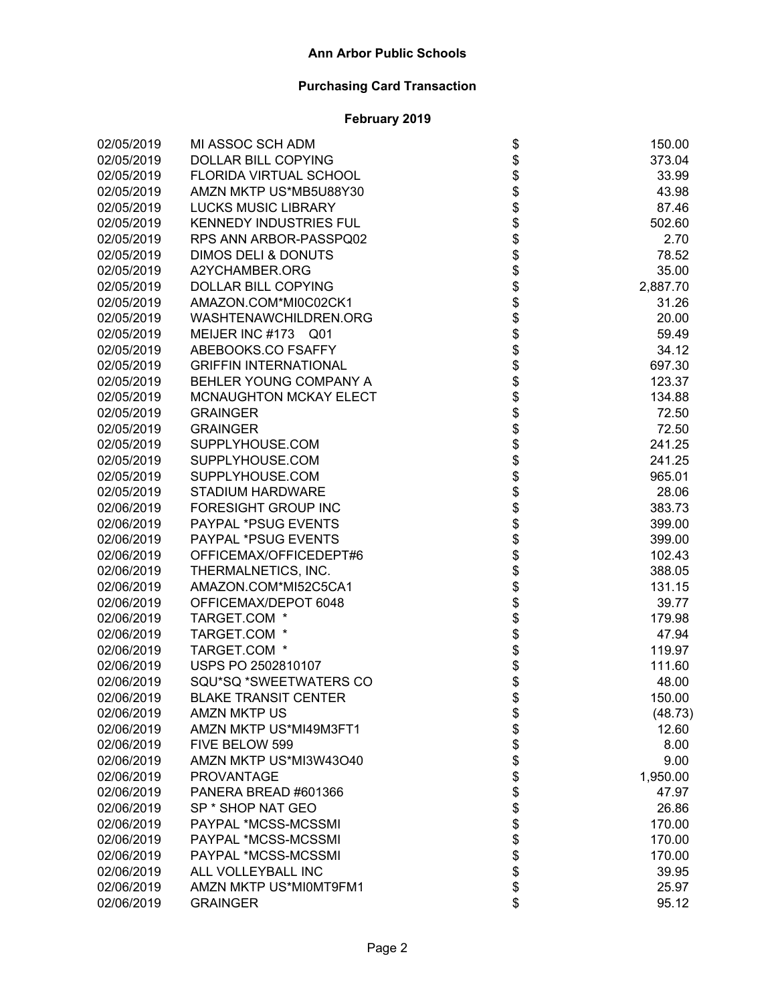| 02/05/2019 | MI ASSOC SCH ADM               | \$                 | 150.00   |
|------------|--------------------------------|--------------------|----------|
| 02/05/2019 | DOLLAR BILL COPYING            |                    | 373.04   |
| 02/05/2019 | FLORIDA VIRTUAL SCHOOL         |                    | 33.99    |
| 02/05/2019 | AMZN MKTP US*MB5U88Y30         |                    | 43.98    |
| 02/05/2019 | <b>LUCKS MUSIC LIBRARY</b>     |                    | 87.46    |
| 02/05/2019 | <b>KENNEDY INDUSTRIES FUL</b>  |                    | 502.60   |
| 02/05/2019 | RPS ANN ARBOR-PASSPQ02         |                    | 2.70     |
| 02/05/2019 | <b>DIMOS DELI &amp; DONUTS</b> |                    | 78.52    |
| 02/05/2019 | A2YCHAMBER.ORG                 |                    | 35.00    |
| 02/05/2019 | DOLLAR BILL COPYING            |                    | 2,887.70 |
| 02/05/2019 | AMAZON.COM*MI0C02CK1           |                    | 31.26    |
| 02/05/2019 | WASHTENAWCHILDREN.ORG          |                    | 20.00    |
| 02/05/2019 | MEIJER INC #173 Q01            |                    | 59.49    |
| 02/05/2019 | ABEBOOKS.CO FSAFFY             |                    | 34.12    |
| 02/05/2019 | <b>GRIFFIN INTERNATIONAL</b>   |                    | 697.30   |
| 02/05/2019 | BEHLER YOUNG COMPANY A         |                    | 123.37   |
| 02/05/2019 | MCNAUGHTON MCKAY ELECT         |                    | 134.88   |
| 02/05/2019 | <b>GRAINGER</b>                |                    | 72.50    |
| 02/05/2019 | <b>GRAINGER</b>                |                    | 72.50    |
| 02/05/2019 | SUPPLYHOUSE.COM                |                    | 241.25   |
| 02/05/2019 | SUPPLYHOUSE.COM                |                    | 241.25   |
| 02/05/2019 | SUPPLYHOUSE.COM                |                    | 965.01   |
| 02/05/2019 | <b>STADIUM HARDWARE</b>        |                    | 28.06    |
| 02/06/2019 | <b>FORESIGHT GROUP INC</b>     |                    | 383.73   |
| 02/06/2019 | PAYPAL *PSUG EVENTS            |                    | 399.00   |
| 02/06/2019 | PAYPAL *PSUG EVENTS            |                    | 399.00   |
| 02/06/2019 | OFFICEMAX/OFFICEDEPT#6         |                    | 102.43   |
| 02/06/2019 | THERMALNETICS, INC.            |                    | 388.05   |
| 02/06/2019 | AMAZON.COM*MI52C5CA1           |                    | 131.15   |
| 02/06/2019 | OFFICEMAX/DEPOT 6048           |                    | 39.77    |
| 02/06/2019 | TARGET.COM *                   |                    | 179.98   |
| 02/06/2019 | TARGET.COM *                   |                    | 47.94    |
| 02/06/2019 | TARGET.COM *                   |                    | 119.97   |
| 02/06/2019 | USPS PO 2502810107             |                    | 111.60   |
| 02/06/2019 | SQU*SQ *SWEETWATERS CO         |                    | 48.00    |
| 02/06/2019 | <b>BLAKE TRANSIT CENTER</b>    |                    | 150.00   |
| 02/06/2019 | <b>AMZN MKTP US</b>            | \$                 | (48.73)  |
| 02/06/2019 | AMZN MKTP US*MI49M3FT1         |                    | 12.60    |
| 02/06/2019 | FIVE BELOW 599                 |                    | 8.00     |
| 02/06/2019 | AMZN MKTP US*MI3W43O40         |                    | 9.00     |
| 02/06/2019 | <b>PROVANTAGE</b>              |                    | 1,950.00 |
| 02/06/2019 | PANERA BREAD #601366           |                    | 47.97    |
| 02/06/2019 | SP <sup>*</sup> SHOP NAT GEO   |                    | 26.86    |
| 02/06/2019 | PAYPAL *MCSS-MCSSMI            |                    | 170.00   |
| 02/06/2019 | PAYPAL *MCSS-MCSSMI            |                    | 170.00   |
| 02/06/2019 | PAYPAL *MCSS-MCSSMI            | <b>88888888888</b> | 170.00   |
| 02/06/2019 | ALL VOLLEYBALL INC             |                    | 39.95    |
| 02/06/2019 | AMZN MKTP US*MI0MT9FM1         |                    | 25.97    |
| 02/06/2019 | <b>GRAINGER</b>                | \$                 | 95.12    |
|            |                                |                    |          |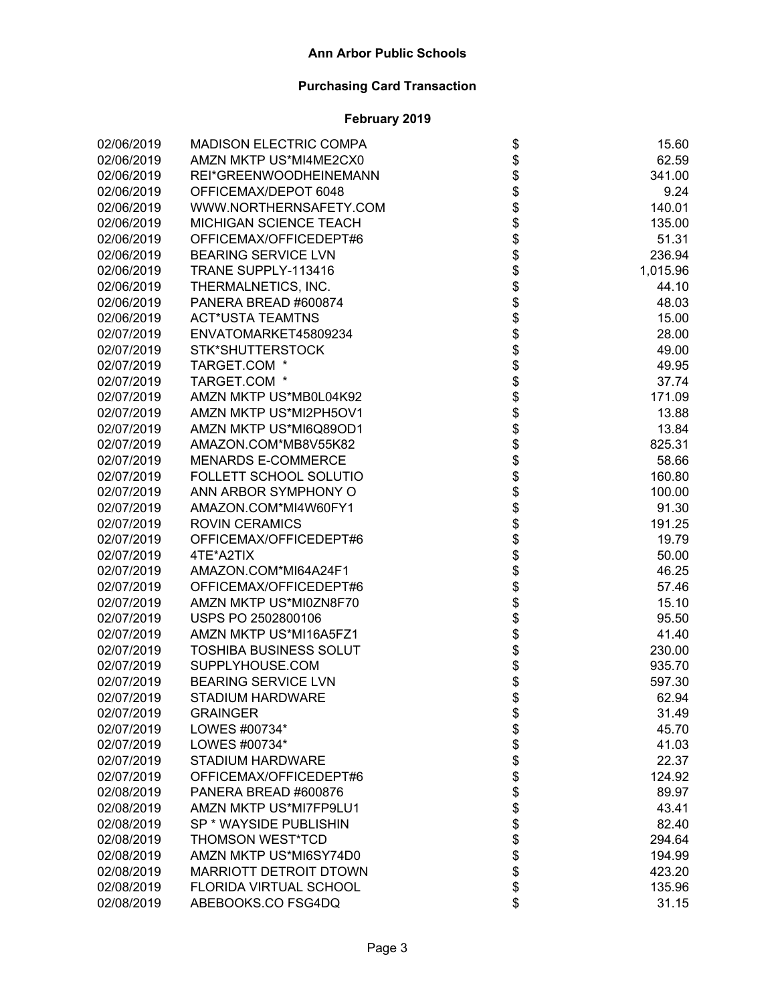| 02/06/2019 | <b>MADISON ELECTRIC COMPA</b> | \$                                                         | 15.60    |
|------------|-------------------------------|------------------------------------------------------------|----------|
| 02/06/2019 | AMZN MKTP US*MI4ME2CX0        |                                                            | 62.59    |
| 02/06/2019 | REI*GREENWOODHEINEMANN        |                                                            | 341.00   |
| 02/06/2019 | OFFICEMAX/DEPOT 6048          |                                                            | 9.24     |
| 02/06/2019 | WWW.NORTHERNSAFETY.COM        |                                                            | 140.01   |
| 02/06/2019 | MICHIGAN SCIENCE TEACH        |                                                            | 135.00   |
| 02/06/2019 | OFFICEMAX/OFFICEDEPT#6        |                                                            | 51.31    |
| 02/06/2019 | <b>BEARING SERVICE LVN</b>    |                                                            | 236.94   |
| 02/06/2019 | TRANE SUPPLY-113416           |                                                            | 1,015.96 |
| 02/06/2019 | THERMALNETICS, INC.           |                                                            | 44.10    |
| 02/06/2019 | PANERA BREAD #600874          |                                                            | 48.03    |
| 02/06/2019 | <b>ACT*USTA TEAMTNS</b>       |                                                            | 15.00    |
| 02/07/2019 | ENVATOMARKET45809234          |                                                            | 28.00    |
| 02/07/2019 | STK*SHUTTERSTOCK              |                                                            | 49.00    |
| 02/07/2019 | TARGET.COM *                  |                                                            | 49.95    |
| 02/07/2019 | TARGET.COM *                  |                                                            | 37.74    |
| 02/07/2019 | AMZN MKTP US*MB0L04K92        |                                                            | 171.09   |
| 02/07/2019 | AMZN MKTP US*MI2PH5OV1        | \$\$\$\$\$\$\$\$\$\$\$\$\$\$\$\$\$\$\$\$\$\$\$\$\$\$\$\$\$ | 13.88    |
| 02/07/2019 | AMZN MKTP US*MI6Q89OD1        |                                                            | 13.84    |
| 02/07/2019 | AMAZON.COM*MB8V55K82          |                                                            | 825.31   |
| 02/07/2019 | <b>MENARDS E-COMMERCE</b>     |                                                            | 58.66    |
| 02/07/2019 | FOLLETT SCHOOL SOLUTIO        |                                                            | 160.80   |
| 02/07/2019 | ANN ARBOR SYMPHONY O          |                                                            | 100.00   |
| 02/07/2019 | AMAZON.COM*MI4W60FY1          |                                                            | 91.30    |
| 02/07/2019 | <b>ROVIN CERAMICS</b>         |                                                            | 191.25   |
| 02/07/2019 | OFFICEMAX/OFFICEDEPT#6        |                                                            | 19.79    |
| 02/07/2019 | 4TE*A2TIX                     |                                                            | 50.00    |
| 02/07/2019 | AMAZON.COM*MI64A24F1          | <b>888888888</b>                                           | 46.25    |
| 02/07/2019 | OFFICEMAX/OFFICEDEPT#6        |                                                            | 57.46    |
| 02/07/2019 | AMZN MKTP US*MI0ZN8F70        |                                                            | 15.10    |
| 02/07/2019 | USPS PO 2502800106            |                                                            | 95.50    |
| 02/07/2019 | AMZN MKTP US*MI16A5FZ1        |                                                            | 41.40    |
| 02/07/2019 | <b>TOSHIBA BUSINESS SOLUT</b> |                                                            | 230.00   |
| 02/07/2019 | SUPPLYHOUSE.COM               |                                                            | 935.70   |
| 02/07/2019 | <b>BEARING SERVICE LVN</b>    |                                                            | 597.30   |
| 02/07/2019 | <b>STADIUM HARDWARE</b>       |                                                            | 62.94    |
| 02/07/2019 | <b>GRAINGER</b>               | \$                                                         | 31.49    |
| 02/07/2019 | LOWES #00734*                 |                                                            | 45.70    |
| 02/07/2019 | LOWES #00734*                 |                                                            | 41.03    |
| 02/07/2019 | <b>STADIUM HARDWARE</b>       |                                                            | 22.37    |
| 02/07/2019 | OFFICEMAX/OFFICEDEPT#6        |                                                            | 124.92   |
| 02/08/2019 | PANERA BREAD #600876          |                                                            | 89.97    |
| 02/08/2019 | AMZN MKTP US*MI7FP9LU1        |                                                            | 43.41    |
| 02/08/2019 | SP * WAYSIDE PUBLISHIN        |                                                            | 82.40    |
| 02/08/2019 | <b>THOMSON WEST*TCD</b>       |                                                            | 294.64   |
| 02/08/2019 | AMZN MKTP US*MI6SY74D0        | \$\$\$\$\$\$\$\$\$\$\$\$                                   | 194.99   |
| 02/08/2019 | MARRIOTT DETROIT DTOWN        |                                                            | 423.20   |
| 02/08/2019 | FLORIDA VIRTUAL SCHOOL        |                                                            |          |
|            |                               | \$                                                         | 135.96   |
| 02/08/2019 | ABEBOOKS.CO FSG4DQ            |                                                            | 31.15    |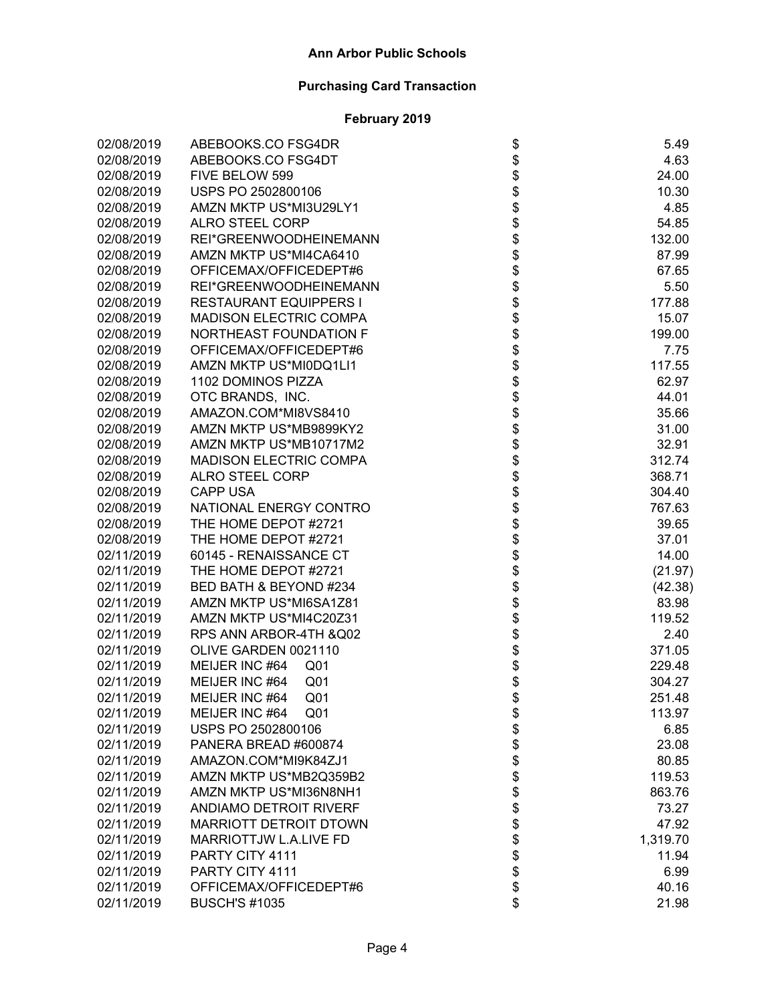| 02/08/2019 | ABEBOOKS.CO FSG4DR                |                               | 5.49     |
|------------|-----------------------------------|-------------------------------|----------|
| 02/08/2019 | ABEBOOKS.CO FSG4DT                |                               | 4.63     |
| 02/08/2019 | FIVE BELOW 599                    |                               | 24.00    |
| 02/08/2019 | USPS PO 2502800106                | \$\$\$                        | 10.30    |
| 02/08/2019 | AMZN MKTP US*MI3U29LY1            |                               | 4.85     |
| 02/08/2019 | <b>ALRO STEEL CORP</b>            |                               | 54.85    |
| 02/08/2019 | REI*GREENWOODHEINEMANN            |                               | 132.00   |
| 02/08/2019 | AMZN MKTP US*MI4CA6410            |                               | 87.99    |
| 02/08/2019 | OFFICEMAX/OFFICEDEPT#6            |                               | 67.65    |
| 02/08/2019 | REI*GREENWOODHEINEMANN            |                               | 5.50     |
| 02/08/2019 | <b>RESTAURANT EQUIPPERS I</b>     |                               | 177.88   |
| 02/08/2019 | <b>MADISON ELECTRIC COMPA</b>     |                               | 15.07    |
| 02/08/2019 | NORTHEAST FOUNDATION F            |                               | 199.00   |
| 02/08/2019 | OFFICEMAX/OFFICEDEPT#6            |                               | 7.75     |
| 02/08/2019 | AMZN MKTP US*MI0DQ1LI1            |                               | 117.55   |
| 02/08/2019 | 1102 DOMINOS PIZZA                |                               | 62.97    |
| 02/08/2019 | OTC BRANDS, INC.                  |                               | 44.01    |
| 02/08/2019 | AMAZON.COM*MI8VS8410              |                               | 35.66    |
| 02/08/2019 | AMZN MKTP US*MB9899KY2            |                               | 31.00    |
| 02/08/2019 | AMZN MKTP US*MB10717M2            |                               | 32.91    |
| 02/08/2019 | <b>MADISON ELECTRIC COMPA</b>     |                               | 312.74   |
| 02/08/2019 | <b>ALRO STEEL CORP</b>            |                               | 368.71   |
| 02/08/2019 | <b>CAPP USA</b>                   |                               | 304.40   |
| 02/08/2019 | NATIONAL ENERGY CONTRO            |                               | 767.63   |
| 02/08/2019 | THE HOME DEPOT #2721              |                               | 39.65    |
| 02/08/2019 | THE HOME DEPOT #2721              | ֍֍֍֍֍֍֍֍֍֍֍֍֍֍֍֍֍֍֍֍֍֍֍֍֍֍֍֍֍ | 37.01    |
| 02/11/2019 | 60145 - RENAISSANCE CT            |                               | 14.00    |
| 02/11/2019 | THE HOME DEPOT #2721              |                               | (21.97)  |
| 02/11/2019 | BED BATH & BEYOND #234            |                               | (42.38)  |
| 02/11/2019 | AMZN MKTP US*MI6SA1Z81            |                               | 83.98    |
| 02/11/2019 | AMZN MKTP US*MI4C20Z31            |                               | 119.52   |
| 02/11/2019 | RPS ANN ARBOR-4TH & Q02           |                               | 2.40     |
| 02/11/2019 | OLIVE GARDEN 0021110              |                               | 371.05   |
| 02/11/2019 | MEIJER INC #64<br>Q <sub>01</sub> |                               | 229.48   |
| 02/11/2019 | MEIJER INC #64<br>Q <sub>01</sub> |                               | 304.27   |
| 02/11/2019 | MEIJER INC #64<br>Q <sub>01</sub> | \$                            | 251.48   |
| 02/11/2019 | MEIJER INC #64<br>Q01             | \$                            | 113.97   |
| 02/11/2019 | USPS PO 2502800106                |                               | 6.85     |
| 02/11/2019 | PANERA BREAD #600874              |                               | 23.08    |
| 02/11/2019 | AMAZON.COM*MI9K84ZJ1              |                               | 80.85    |
| 02/11/2019 | AMZN MKTP US*MB2Q359B2            |                               | 119.53   |
| 02/11/2019 | AMZN MKTP US*MI36N8NH1            |                               | 863.76   |
| 02/11/2019 | <b>ANDIAMO DETROIT RIVERF</b>     |                               | 73.27    |
| 02/11/2019 | <b>MARRIOTT DETROIT DTOWN</b>     |                               | 47.92    |
| 02/11/2019 | <b>MARRIOTTJW L.A.LIVE FD</b>     |                               | 1,319.70 |
| 02/11/2019 | PARTY CITY 4111                   | <b>8888888888</b>             | 11.94    |
| 02/11/2019 | PARTY CITY 4111                   |                               | 6.99     |
| 02/11/2019 | OFFICEMAX/OFFICEDEPT#6            |                               | 40.16    |
| 02/11/2019 | <b>BUSCH'S #1035</b>              | \$                            | 21.98    |
|            |                                   |                               |          |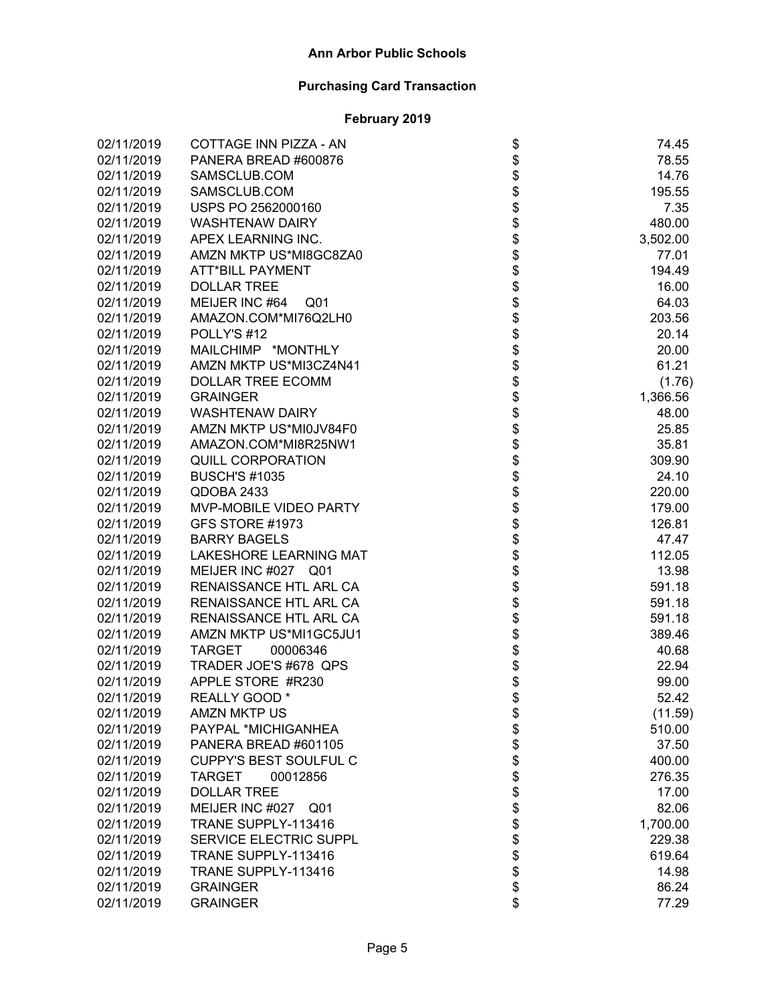| 02/11/2019 | COTTAGE INN PIZZA - AN        |                                      | 74.45    |
|------------|-------------------------------|--------------------------------------|----------|
| 02/11/2019 | PANERA BREAD #600876          |                                      | 78.55    |
| 02/11/2019 | SAMSCLUB.COM                  |                                      | 14.76    |
| 02/11/2019 | SAMSCLUB.COM                  |                                      | 195.55   |
| 02/11/2019 | USPS PO 2562000160            |                                      | 7.35     |
| 02/11/2019 | <b>WASHTENAW DAIRY</b>        |                                      | 480.00   |
| 02/11/2019 | APEX LEARNING INC.            |                                      | 3,502.00 |
| 02/11/2019 | AMZN MKTP US*MI8GC8ZA0        |                                      | 77.01    |
| 02/11/2019 | <b>ATT*BILL PAYMENT</b>       |                                      | 194.49   |
| 02/11/2019 | <b>DOLLAR TREE</b>            |                                      | 16.00    |
| 02/11/2019 | MEIJER INC #64 Q01            |                                      | 64.03    |
| 02/11/2019 | AMAZON.COM*MI76Q2LH0          |                                      | 203.56   |
| 02/11/2019 | POLLY'S #12                   |                                      | 20.14    |
| 02/11/2019 | MAILCHIMP *MONTHLY            |                                      | 20.00    |
| 02/11/2019 | AMZN MKTP US*MI3CZ4N41        |                                      | 61.21    |
| 02/11/2019 | DOLLAR TREE ECOMM             |                                      | (1.76)   |
| 02/11/2019 | <b>GRAINGER</b>               |                                      | 1,366.56 |
| 02/11/2019 | <b>WASHTENAW DAIRY</b>        |                                      | 48.00    |
| 02/11/2019 | AMZN MKTP US*MI0JV84F0        |                                      | 25.85    |
| 02/11/2019 | AMAZON.COM*MI8R25NW1          |                                      | 35.81    |
| 02/11/2019 | <b>QUILL CORPORATION</b>      |                                      | 309.90   |
| 02/11/2019 | <b>BUSCH'S #1035</b>          |                                      | 24.10    |
| 02/11/2019 | QDOBA 2433                    |                                      | 220.00   |
| 02/11/2019 | MVP-MOBILE VIDEO PARTY        |                                      | 179.00   |
| 02/11/2019 | GFS STORE #1973               |                                      | 126.81   |
| 02/11/2019 | <b>BARRY BAGELS</b>           | ֍֎֍֍֍֍֍֍֍֍֍֍֍֍֍֍֍֍֍֍֍֍֍֍֍֍֍֍֍֍֍֍֍֍֍֍ | 47.47    |
| 02/11/2019 | LAKESHORE LEARNING MAT        |                                      | 112.05   |
| 02/11/2019 | MEIJER INC #027 Q01           |                                      | 13.98    |
| 02/11/2019 | RENAISSANCE HTL ARL CA        |                                      | 591.18   |
| 02/11/2019 | RENAISSANCE HTL ARL CA        |                                      | 591.18   |
| 02/11/2019 | RENAISSANCE HTL ARL CA        |                                      | 591.18   |
| 02/11/2019 | AMZN MKTP US*MI1GC5JU1        |                                      | 389.46   |
| 02/11/2019 | TARGET<br>00006346            |                                      | 40.68    |
| 02/11/2019 | TRADER JOE'S #678 QPS         |                                      | 22.94    |
| 02/11/2019 | APPLE STORE #R230             |                                      | 99.00    |
| 02/11/2019 | REALLY GOOD *                 |                                      | 52.42    |
| 02/11/2019 | <b>AMZN MKTP US</b>           | \$                                   | (11.59)  |
| 02/11/2019 | PAYPAL *MICHIGANHEA           |                                      | 510.00   |
| 02/11/2019 | PANERA BREAD #601105          |                                      | 37.50    |
| 02/11/2019 | <b>CUPPY'S BEST SOULFUL C</b> |                                      | 400.00   |
| 02/11/2019 | <b>TARGET</b><br>00012856     |                                      | 276.35   |
| 02/11/2019 | <b>DOLLAR TREE</b>            |                                      | 17.00    |
| 02/11/2019 | MEIJER INC #027 Q01           |                                      | 82.06    |
| 02/11/2019 | TRANE SUPPLY-113416           |                                      | 1,700.00 |
| 02/11/2019 | SERVICE ELECTRIC SUPPL        |                                      | 229.38   |
| 02/11/2019 | TRANE SUPPLY-113416           | \$\$\$\$\$\$\$\$\$\$\$               | 619.64   |
| 02/11/2019 | TRANE SUPPLY-113416           |                                      | 14.98    |
| 02/11/2019 | <b>GRAINGER</b>               |                                      | 86.24    |
| 02/11/2019 | <b>GRAINGER</b>               | \$                                   | 77.29    |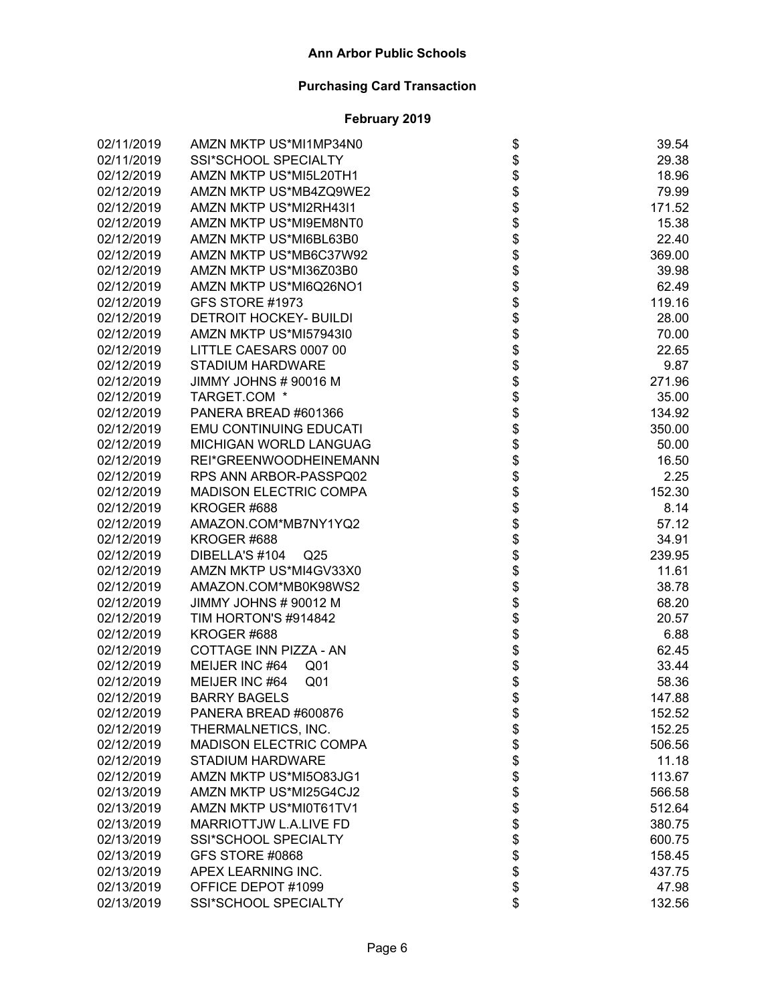| 02/11/2019 | AMZN MKTP US*MI1MP34N0            |                                      | 39.54  |
|------------|-----------------------------------|--------------------------------------|--------|
| 02/11/2019 | SSI*SCHOOL SPECIALTY              |                                      | 29.38  |
| 02/12/2019 | AMZN MKTP US*MI5L20TH1            |                                      | 18.96  |
| 02/12/2019 | AMZN MKTP US*MB4ZQ9WE2            |                                      | 79.99  |
| 02/12/2019 | AMZN MKTP US*MI2RH43I1            |                                      | 171.52 |
| 02/12/2019 | AMZN MKTP US*MI9EM8NT0            |                                      | 15.38  |
| 02/12/2019 | AMZN MKTP US*MI6BL63B0            |                                      | 22.40  |
| 02/12/2019 | AMZN MKTP US*MB6C37W92            |                                      | 369.00 |
| 02/12/2019 | AMZN MKTP US*MI36Z03B0            |                                      | 39.98  |
| 02/12/2019 | AMZN MKTP US*MI6Q26NO1            |                                      | 62.49  |
| 02/12/2019 | GFS STORE #1973                   |                                      | 119.16 |
| 02/12/2019 | <b>DETROIT HOCKEY- BUILDI</b>     |                                      | 28.00  |
| 02/12/2019 | AMZN MKTP US*MI57943I0            |                                      | 70.00  |
| 02/12/2019 | LITTLE CAESARS 0007 00            |                                      | 22.65  |
| 02/12/2019 | <b>STADIUM HARDWARE</b>           |                                      | 9.87   |
| 02/12/2019 | JIMMY JOHNS # 90016 M             |                                      | 271.96 |
| 02/12/2019 | TARGET.COM *                      |                                      | 35.00  |
| 02/12/2019 | PANERA BREAD #601366              |                                      | 134.92 |
| 02/12/2019 | <b>EMU CONTINUING EDUCATI</b>     |                                      | 350.00 |
| 02/12/2019 | MICHIGAN WORLD LANGUAG            |                                      | 50.00  |
| 02/12/2019 | REI*GREENWOODHEINEMANN            |                                      | 16.50  |
| 02/12/2019 | RPS ANN ARBOR-PASSPQ02            | ֍֎֍֍֍֍֍֍֍֍֍֍֍֍֍֍֍֍֍֍֍֍֍֍֍֍֍֍֍֍֍֍֍֍֍֍ | 2.25   |
| 02/12/2019 | <b>MADISON ELECTRIC COMPA</b>     |                                      | 152.30 |
| 02/12/2019 | KROGER #688                       |                                      | 8.14   |
| 02/12/2019 | AMAZON.COM*MB7NY1YQ2              |                                      | 57.12  |
| 02/12/2019 | KROGER #688                       |                                      | 34.91  |
| 02/12/2019 | DIBELLA'S #104<br>Q <sub>25</sub> |                                      | 239.95 |
| 02/12/2019 | AMZN MKTP US*MI4GV33X0            |                                      | 11.61  |
| 02/12/2019 | AMAZON.COM*MB0K98WS2              |                                      | 38.78  |
| 02/12/2019 | JIMMY JOHNS # 90012 M             |                                      | 68.20  |
| 02/12/2019 | TIM HORTON'S #914842              |                                      | 20.57  |
| 02/12/2019 | KROGER #688                       |                                      | 6.88   |
| 02/12/2019 | COTTAGE INN PIZZA - AN            |                                      | 62.45  |
| 02/12/2019 | MEIJER INC #64<br>Q <sub>01</sub> |                                      | 33.44  |
| 02/12/2019 | MEIJER INC #64<br>Q <sub>01</sub> |                                      | 58.36  |
| 02/12/2019 | <b>BARRY BAGELS</b>               |                                      | 147.88 |
| 02/12/2019 | PANERA BREAD #600876              |                                      | 152.52 |
| 02/12/2019 | THERMALNETICS, INC.               |                                      | 152.25 |
| 02/12/2019 | <b>MADISON ELECTRIC COMPA</b>     |                                      | 506.56 |
| 02/12/2019 | <b>STADIUM HARDWARE</b>           |                                      | 11.18  |
| 02/12/2019 | AMZN MKTP US*MI5O83JG1            |                                      | 113.67 |
| 02/13/2019 | AMZN MKTP US*MI25G4CJ2            |                                      | 566.58 |
| 02/13/2019 | AMZN MKTP US*MI0T61TV1            |                                      | 512.64 |
| 02/13/2019 | MARRIOTTJW L.A.LIVE FD            |                                      | 380.75 |
| 02/13/2019 | SSI*SCHOOL SPECIALTY              |                                      | 600.75 |
| 02/13/2019 | GFS STORE #0868                   | <b>まままままままままま</b>                    | 158.45 |
| 02/13/2019 | APEX LEARNING INC.                |                                      | 437.75 |
| 02/13/2019 | OFFICE DEPOT #1099                |                                      | 47.98  |
| 02/13/2019 | SSI*SCHOOL SPECIALTY              | \$                                   | 132.56 |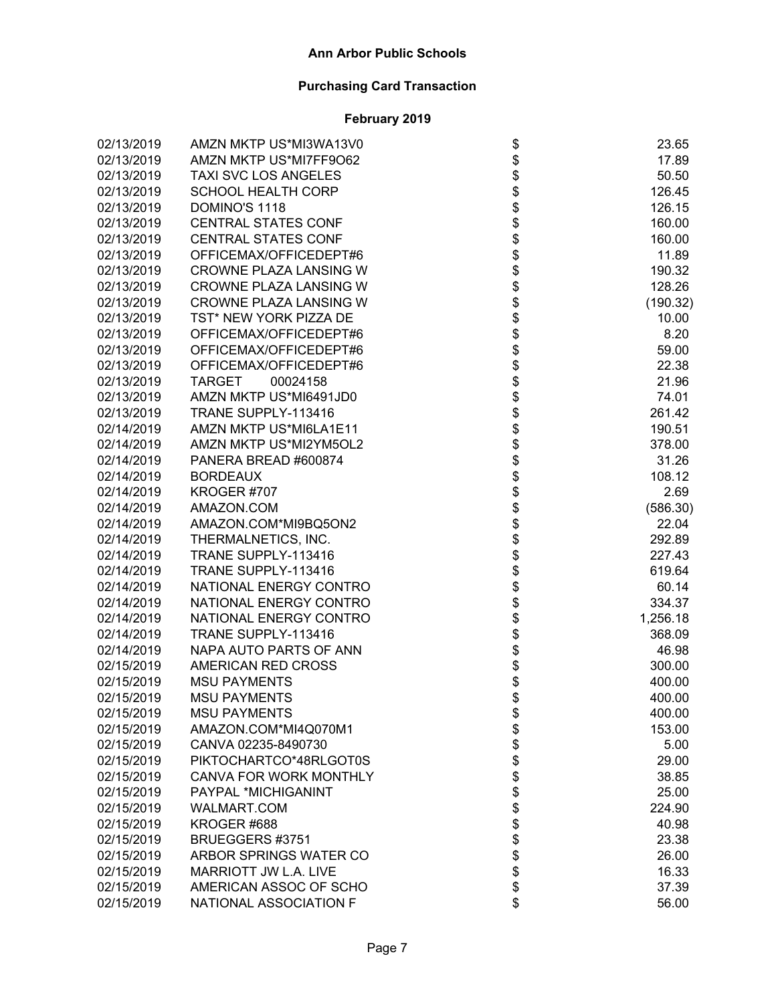| 02/13/2019 | AMZN MKTP US*MI3WA13V0        |                                      | 23.65    |
|------------|-------------------------------|--------------------------------------|----------|
| 02/13/2019 | AMZN MKTP US*MI7FF9O62        |                                      | 17.89    |
| 02/13/2019 | TAXI SVC LOS ANGELES          |                                      | 50.50    |
| 02/13/2019 | <b>SCHOOL HEALTH CORP</b>     |                                      | 126.45   |
| 02/13/2019 | DOMINO'S 1118                 |                                      | 126.15   |
| 02/13/2019 | <b>CENTRAL STATES CONF</b>    |                                      | 160.00   |
| 02/13/2019 | <b>CENTRAL STATES CONF</b>    |                                      | 160.00   |
| 02/13/2019 | OFFICEMAX/OFFICEDEPT#6        |                                      | 11.89    |
| 02/13/2019 | <b>CROWNE PLAZA LANSING W</b> |                                      | 190.32   |
| 02/13/2019 | CROWNE PLAZA LANSING W        |                                      | 128.26   |
| 02/13/2019 | <b>CROWNE PLAZA LANSING W</b> |                                      | (190.32) |
| 02/13/2019 | TST* NEW YORK PIZZA DE        |                                      | 10.00    |
| 02/13/2019 | OFFICEMAX/OFFICEDEPT#6        |                                      | 8.20     |
| 02/13/2019 | OFFICEMAX/OFFICEDEPT#6        |                                      | 59.00    |
| 02/13/2019 | OFFICEMAX/OFFICEDEPT#6        |                                      | 22.38    |
| 02/13/2019 | <b>TARGET</b><br>00024158     |                                      | 21.96    |
| 02/13/2019 | AMZN MKTP US*MI6491JD0        |                                      | 74.01    |
| 02/13/2019 | TRANE SUPPLY-113416           |                                      | 261.42   |
| 02/14/2019 | AMZN MKTP US*MI6LA1E11        |                                      | 190.51   |
| 02/14/2019 | AMZN MKTP US*MI2YM5OL2        |                                      | 378.00   |
| 02/14/2019 | PANERA BREAD #600874          |                                      | 31.26    |
| 02/14/2019 | <b>BORDEAUX</b>               |                                      | 108.12   |
| 02/14/2019 | KROGER #707                   |                                      | 2.69     |
| 02/14/2019 | AMAZON.COM                    |                                      | (586.30) |
| 02/14/2019 | AMAZON.COM*MI9BQ5ON2          |                                      | 22.04    |
| 02/14/2019 | THERMALNETICS, INC.           | ֍֎֍֍֍֍֍֍֍֍֍֍֍֍֍֍֍֍֍֍֍֍֍֍֍֍֍֍֍֍֍֍֍֍֍֍ | 292.89   |
| 02/14/2019 | TRANE SUPPLY-113416           |                                      | 227.43   |
| 02/14/2019 | TRANE SUPPLY-113416           |                                      | 619.64   |
| 02/14/2019 | NATIONAL ENERGY CONTRO        |                                      | 60.14    |
| 02/14/2019 | NATIONAL ENERGY CONTRO        |                                      | 334.37   |
| 02/14/2019 | NATIONAL ENERGY CONTRO        |                                      | 1,256.18 |
| 02/14/2019 | TRANE SUPPLY-113416           |                                      | 368.09   |
| 02/14/2019 | NAPA AUTO PARTS OF ANN        |                                      | 46.98    |
| 02/15/2019 | AMERICAN RED CROSS            |                                      | 300.00   |
| 02/15/2019 | <b>MSU PAYMENTS</b>           |                                      | 400.00   |
| 02/15/2019 | <b>MSU PAYMENTS</b>           |                                      | 400.00   |
| 02/15/2019 | <b>MSU PAYMENTS</b>           | \$                                   | 400.00   |
| 02/15/2019 | AMAZON.COM*MI4Q070M1          |                                      | 153.00   |
| 02/15/2019 | CANVA 02235-8490730           |                                      | 5.00     |
| 02/15/2019 | PIKTOCHARTCO*48RLGOT0S        |                                      | 29.00    |
| 02/15/2019 | CANVA FOR WORK MONTHLY        |                                      | 38.85    |
| 02/15/2019 | PAYPAL *MICHIGANINT           |                                      | 25.00    |
| 02/15/2019 | <b>WALMART.COM</b>            |                                      | 224.90   |
| 02/15/2019 | KROGER <sub>#688</sub>        |                                      | 40.98    |
| 02/15/2019 | BRUEGGERS #3751               |                                      | 23.38    |
| 02/15/2019 | ARBOR SPRINGS WATER CO        | <b>8888888888888888888888</b>        | 26.00    |
| 02/15/2019 | MARRIOTT JW L.A. LIVE         |                                      | 16.33    |
| 02/15/2019 | AMERICAN ASSOC OF SCHO        |                                      | 37.39    |
| 02/15/2019 | NATIONAL ASSOCIATION F        | \$                                   | 56.00    |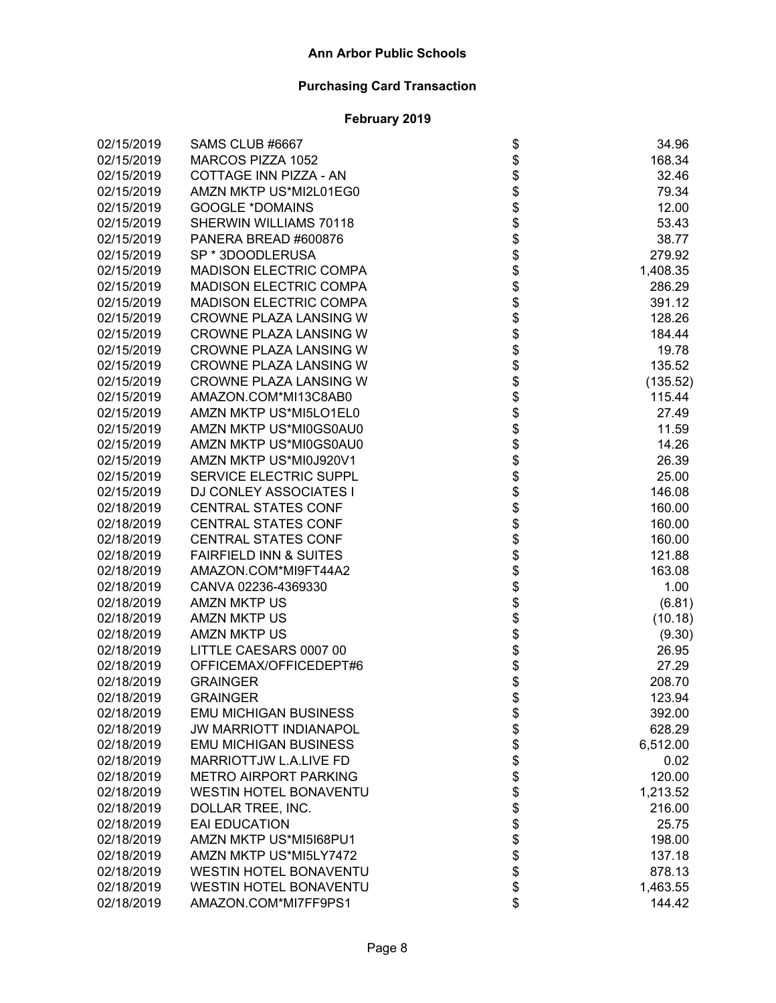| 02/15/2019 | SAMS CLUB #6667                   |                                      | 34.96    |
|------------|-----------------------------------|--------------------------------------|----------|
| 02/15/2019 | MARCOS PIZZA 1052                 |                                      | 168.34   |
| 02/15/2019 | COTTAGE INN PIZZA - AN            |                                      | 32.46    |
| 02/15/2019 | AMZN MKTP US*MI2L01EG0            |                                      | 79.34    |
| 02/15/2019 | <b>GOOGLE *DOMAINS</b>            |                                      | 12.00    |
| 02/15/2019 | <b>SHERWIN WILLIAMS 70118</b>     |                                      | 53.43    |
| 02/15/2019 | PANERA BREAD #600876              |                                      | 38.77    |
| 02/15/2019 | SP * 3DOODLERUSA                  |                                      | 279.92   |
| 02/15/2019 | <b>MADISON ELECTRIC COMPA</b>     |                                      | 1,408.35 |
| 02/15/2019 | <b>MADISON ELECTRIC COMPA</b>     |                                      | 286.29   |
| 02/15/2019 | <b>MADISON ELECTRIC COMPA</b>     |                                      | 391.12   |
| 02/15/2019 | CROWNE PLAZA LANSING W            |                                      | 128.26   |
| 02/15/2019 | CROWNE PLAZA LANSING W            |                                      | 184.44   |
| 02/15/2019 | CROWNE PLAZA LANSING W            |                                      | 19.78    |
| 02/15/2019 | CROWNE PLAZA LANSING W            |                                      | 135.52   |
| 02/15/2019 | CROWNE PLAZA LANSING W            |                                      | (135.52) |
| 02/15/2019 | AMAZON.COM*MI13C8AB0              |                                      | 115.44   |
| 02/15/2019 | AMZN MKTP US*MI5LO1EL0            |                                      | 27.49    |
| 02/15/2019 | AMZN MKTP US*MI0GS0AU0            |                                      | 11.59    |
| 02/15/2019 | AMZN MKTP US*MI0GS0AU0            |                                      | 14.26    |
| 02/15/2019 | AMZN MKTP US*MI0J920V1            |                                      | 26.39    |
| 02/15/2019 | SERVICE ELECTRIC SUPPL            |                                      | 25.00    |
| 02/15/2019 | <b>DJ CONLEY ASSOCIATES I</b>     |                                      | 146.08   |
| 02/18/2019 | <b>CENTRAL STATES CONF</b>        |                                      | 160.00   |
| 02/18/2019 | <b>CENTRAL STATES CONF</b>        |                                      | 160.00   |
| 02/18/2019 | <b>CENTRAL STATES CONF</b>        | ֍֎֍֍֍֍֍֍֍֍֍֍֍֍֍֍֍֍֍֍֍֍֍֍֍֍֍֍֍֍֍֍֍֍֍֍ | 160.00   |
| 02/18/2019 | <b>FAIRFIELD INN &amp; SUITES</b> |                                      | 121.88   |
| 02/18/2019 | AMAZON.COM*MI9FT44A2              |                                      | 163.08   |
| 02/18/2019 | CANVA 02236-4369330               |                                      | 1.00     |
| 02/18/2019 | <b>AMZN MKTP US</b>               |                                      | (6.81)   |
| 02/18/2019 | <b>AMZN MKTP US</b>               |                                      | (10.18)  |
| 02/18/2019 | <b>AMZN MKTP US</b>               |                                      | (9.30)   |
| 02/18/2019 | LITTLE CAESARS 0007 00            |                                      | 26.95    |
| 02/18/2019 | OFFICEMAX/OFFICEDEPT#6            |                                      | 27.29    |
| 02/18/2019 | <b>GRAINGER</b>                   |                                      | 208.70   |
| 02/18/2019 | <b>GRAINGER</b>                   |                                      | 123.94   |
| 02/18/2019 | <b>EMU MICHIGAN BUSINESS</b>      |                                      | 392.00   |
| 02/18/2019 | <b>JW MARRIOTT INDIANAPOL</b>     |                                      | 628.29   |
| 02/18/2019 | <b>EMU MICHIGAN BUSINESS</b>      |                                      | 6,512.00 |
| 02/18/2019 | MARRIOTTJW L.A.LIVE FD            |                                      | 0.02     |
| 02/18/2019 | <b>METRO AIRPORT PARKING</b>      |                                      | 120.00   |
| 02/18/2019 | <b>WESTIN HOTEL BONAVENTU</b>     |                                      | 1,213.52 |
| 02/18/2019 | DOLLAR TREE, INC.                 |                                      | 216.00   |
| 02/18/2019 | <b>EAI EDUCATION</b>              |                                      | 25.75    |
| 02/18/2019 | AMZN MKTP US*MI5I68PU1            |                                      | 198.00   |
| 02/18/2019 | AMZN MKTP US*MI5LY7472            | <b>おおまままままままま</b>                    | 137.18   |
| 02/18/2019 | <b>WESTIN HOTEL BONAVENTU</b>     |                                      | 878.13   |
| 02/18/2019 | <b>WESTIN HOTEL BONAVENTU</b>     |                                      | 1,463.55 |
| 02/18/2019 | AMAZON.COM*MI7FF9PS1              | \$                                   | 144.42   |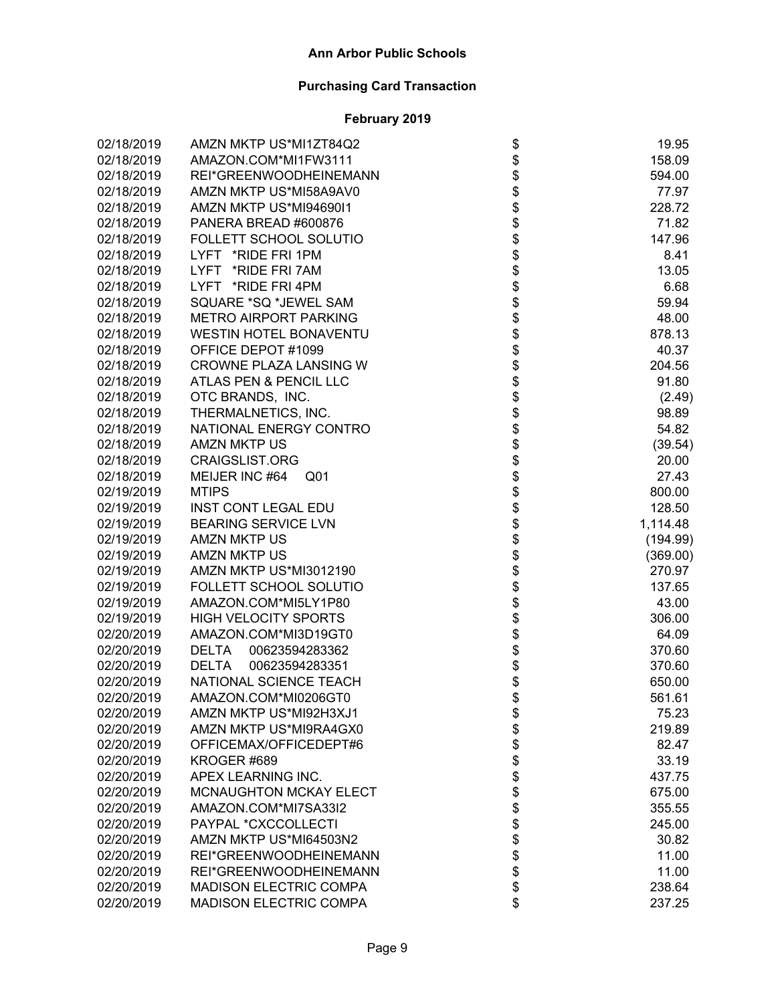| 02/18/2019 | AMZN MKTP US*MI1ZT84Q2            |                                      | 19.95    |
|------------|-----------------------------------|--------------------------------------|----------|
| 02/18/2019 | AMAZON.COM*MI1FW3111              |                                      | 158.09   |
| 02/18/2019 | REI*GREENWOODHEINEMANN            |                                      | 594.00   |
| 02/18/2019 | AMZN MKTP US*MI58A9AV0            |                                      | 77.97    |
| 02/18/2019 | AMZN MKTP US*MI94690I1            |                                      | 228.72   |
| 02/18/2019 | PANERA BREAD #600876              |                                      | 71.82    |
| 02/18/2019 | FOLLETT SCHOOL SOLUTIO            |                                      | 147.96   |
| 02/18/2019 | LYFT *RIDE FRI 1PM                |                                      | 8.41     |
| 02/18/2019 | LYFT *RIDE FRI 7AM                |                                      | 13.05    |
| 02/18/2019 | LYFT *RIDE FRI 4PM                |                                      | 6.68     |
| 02/18/2019 | SQUARE *SQ *JEWEL SAM             |                                      | 59.94    |
| 02/18/2019 | <b>METRO AIRPORT PARKING</b>      |                                      | 48.00    |
| 02/18/2019 | <b>WESTIN HOTEL BONAVENTU</b>     |                                      | 878.13   |
| 02/18/2019 | OFFICE DEPOT #1099                |                                      | 40.37    |
| 02/18/2019 | CROWNE PLAZA LANSING W            |                                      | 204.56   |
| 02/18/2019 | ATLAS PEN & PENCIL LLC            |                                      | 91.80    |
| 02/18/2019 | OTC BRANDS, INC.                  |                                      | (2.49)   |
| 02/18/2019 | THERMALNETICS, INC.               |                                      | 98.89    |
| 02/18/2019 | NATIONAL ENERGY CONTRO            |                                      | 54.82    |
| 02/18/2019 | <b>AMZN MKTP US</b>               |                                      | (39.54)  |
| 02/18/2019 | CRAIGSLIST.ORG                    |                                      | 20.00    |
| 02/18/2019 | MEIJER INC #64<br>Q <sub>01</sub> |                                      | 27.43    |
| 02/19/2019 | <b>MTIPS</b>                      |                                      | 800.00   |
| 02/19/2019 | <b>INST CONT LEGAL EDU</b>        |                                      | 128.50   |
| 02/19/2019 | <b>BEARING SERVICE LVN</b>        | ֍֎֍֍֍֍֍֍֍֍֍֍֍֍֍֍֍֍֍֍֍֍֍֍֍֍֍֍֍֍֍֍֍֍֍֍ | 1,114.48 |
| 02/19/2019 | <b>AMZN MKTP US</b>               |                                      | (194.99) |
| 02/19/2019 | <b>AMZN MKTP US</b>               |                                      | (369.00) |
| 02/19/2019 | AMZN MKTP US*MI3012190            |                                      | 270.97   |
| 02/19/2019 | FOLLETT SCHOOL SOLUTIO            |                                      | 137.65   |
| 02/19/2019 | AMAZON.COM*MI5LY1P80              |                                      | 43.00    |
| 02/19/2019 | <b>HIGH VELOCITY SPORTS</b>       |                                      | 306.00   |
| 02/20/2019 | AMAZON.COM*MI3D19GT0              |                                      | 64.09    |
| 02/20/2019 | 00623594283362<br><b>DELTA</b>    |                                      | 370.60   |
| 02/20/2019 | 00623594283351<br><b>DELTA</b>    |                                      | 370.60   |
| 02/20/2019 | NATIONAL SCIENCE TEACH            |                                      | 650.00   |
| 02/20/2019 | AMAZON.COM*MI0206GT0              |                                      | 561.61   |
| 02/20/2019 | AMZN MKTP US*MI92H3XJ1            | \$                                   | 75.23    |
| 02/20/2019 | AMZN MKTP US*MI9RA4GX0            |                                      | 219.89   |
| 02/20/2019 | OFFICEMAX/OFFICEDEPT#6            |                                      | 82.47    |
| 02/20/2019 | KROGER #689                       |                                      | 33.19    |
| 02/20/2019 | APEX LEARNING INC.                |                                      | 437.75   |
| 02/20/2019 | <b>MCNAUGHTON MCKAY ELECT</b>     |                                      | 675.00   |
| 02/20/2019 | AMAZON.COM*MI7SA33I2              |                                      | 355.55   |
| 02/20/2019 | PAYPAL *CXCCOLLECTI               |                                      | 245.00   |
| 02/20/2019 | AMZN MKTP US*MI64503N2            | <b>8888888888</b>                    | 30.82    |
| 02/20/2019 | REI*GREENWOODHEINEMANN            |                                      | 11.00    |
| 02/20/2019 | REI*GREENWOODHEINEMANN            |                                      | 11.00    |
| 02/20/2019 | MADISON ELECTRIC COMPA            |                                      | 238.64   |
| 02/20/2019 | MADISON ELECTRIC COMPA            | \$                                   | 237.25   |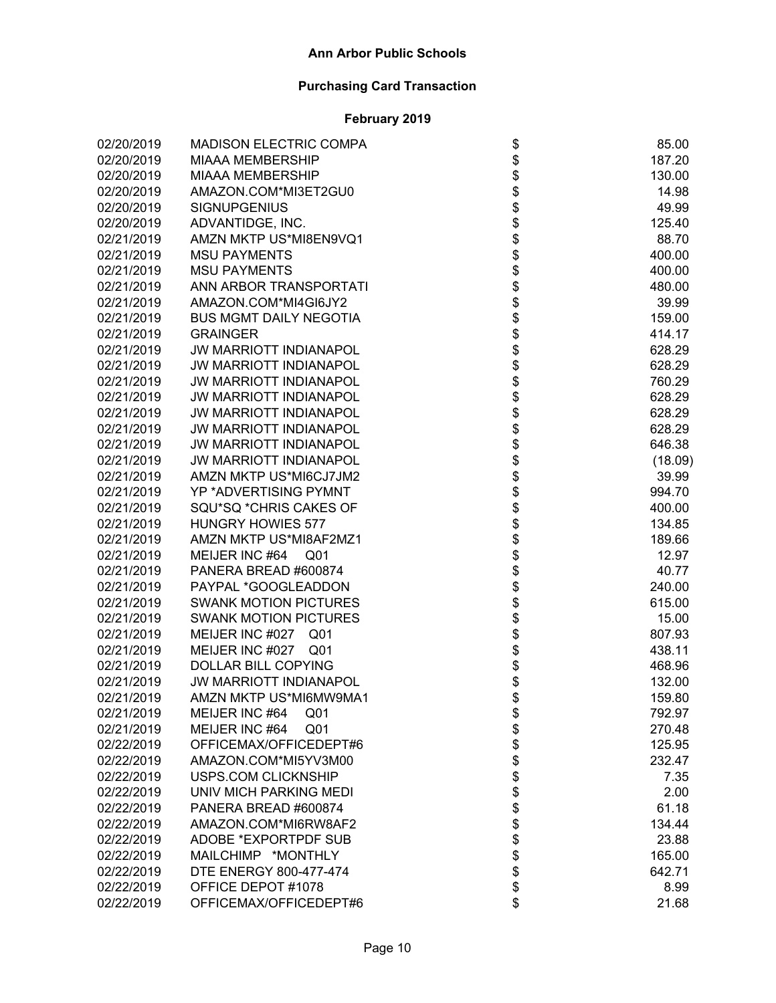| 02/20/2019 | <b>MADISON ELECTRIC COMPA</b>      | \$                                                     | 85.00   |
|------------|------------------------------------|--------------------------------------------------------|---------|
| 02/20/2019 | <b>MIAAA MEMBERSHIP</b>            |                                                        | 187.20  |
| 02/20/2019 | <b>MIAAA MEMBERSHIP</b>            |                                                        | 130.00  |
| 02/20/2019 | AMAZON.COM*MI3ET2GU0               |                                                        | 14.98   |
| 02/20/2019 | <b>SIGNUPGENIUS</b>                |                                                        | 49.99   |
| 02/20/2019 | ADVANTIDGE, INC.                   |                                                        | 125.40  |
| 02/21/2019 | AMZN MKTP US*MI8EN9VQ1             |                                                        | 88.70   |
| 02/21/2019 | <b>MSU PAYMENTS</b>                |                                                        | 400.00  |
| 02/21/2019 | <b>MSU PAYMENTS</b>                |                                                        | 400.00  |
| 02/21/2019 | ANN ARBOR TRANSPORTATI             |                                                        | 480.00  |
| 02/21/2019 | AMAZON.COM*MI4GI6JY2               |                                                        | 39.99   |
| 02/21/2019 | <b>BUS MGMT DAILY NEGOTIA</b>      |                                                        | 159.00  |
| 02/21/2019 | <b>GRAINGER</b>                    |                                                        | 414.17  |
| 02/21/2019 | <b>JW MARRIOTT INDIANAPOL</b>      |                                                        | 628.29  |
| 02/21/2019 | <b>JW MARRIOTT INDIANAPOL</b>      |                                                        | 628.29  |
| 02/21/2019 | <b>JW MARRIOTT INDIANAPOL</b>      |                                                        | 760.29  |
| 02/21/2019 | <b>JW MARRIOTT INDIANAPOL</b>      |                                                        | 628.29  |
| 02/21/2019 | <b>JW MARRIOTT INDIANAPOL</b>      |                                                        | 628.29  |
| 02/21/2019 | <b>JW MARRIOTT INDIANAPOL</b>      | \$\$\$\$\$\$\$\$\$\$\$\$\$\$\$\$\$\$\$\$\$\$\$\$\$\$\$ | 628.29  |
| 02/21/2019 | <b>JW MARRIOTT INDIANAPOL</b>      |                                                        | 646.38  |
| 02/21/2019 | <b>JW MARRIOTT INDIANAPOL</b>      |                                                        | (18.09) |
| 02/21/2019 | AMZN MKTP US*MI6CJ7JM2             |                                                        | 39.99   |
| 02/21/2019 | <b>YP *ADVERTISING PYMNT</b>       |                                                        | 994.70  |
| 02/21/2019 | SQU*SQ *CHRIS CAKES OF             |                                                        | 400.00  |
| 02/21/2019 | <b>HUNGRY HOWIES 577</b>           |                                                        | 134.85  |
| 02/21/2019 | AMZN MKTP US*MI8AF2MZ1             | \$\$\$\$\$\$\$\$                                       | 189.66  |
| 02/21/2019 | MEIJER INC #64<br>Q01              |                                                        | 12.97   |
| 02/21/2019 | PANERA BREAD #600874               |                                                        | 40.77   |
| 02/21/2019 | PAYPAL *GOOGLEADDON                |                                                        | 240.00  |
| 02/21/2019 | <b>SWANK MOTION PICTURES</b>       |                                                        | 615.00  |
| 02/21/2019 | <b>SWANK MOTION PICTURES</b>       |                                                        | 15.00   |
| 02/21/2019 | MEIJER INC #027<br>Q <sub>01</sub> |                                                        | 807.93  |
| 02/21/2019 | MEIJER INC #027 Q01                | \$<br>\$                                               | 438.11  |
| 02/21/2019 | DOLLAR BILL COPYING                |                                                        | 468.96  |
| 02/21/2019 | <b>JW MARRIOTT INDIANAPOL</b>      |                                                        | 132.00  |
| 02/21/2019 | AMZN MKTP US*MI6MW9MA1             | \$                                                     | 159.80  |
| 02/21/2019 | MEIJER INC #64<br>Q <sub>01</sub>  |                                                        | 792.97  |
| 02/21/2019 | MEIJER INC #64<br>Q <sub>01</sub>  |                                                        | 270.48  |
| 02/22/2019 | OFFICEMAX/OFFICEDEPT#6             |                                                        | 125.95  |
| 02/22/2019 | AMAZON.COM*MI5YV3M00               |                                                        | 232.47  |
| 02/22/2019 | <b>USPS.COM CLICKNSHIP</b>         |                                                        | 7.35    |
| 02/22/2019 | UNIV MICH PARKING MEDI             |                                                        | 2.00    |
| 02/22/2019 | PANERA BREAD #600874               |                                                        | 61.18   |
| 02/22/2019 | AMAZON.COM*MI6RW8AF2               |                                                        | 134.44  |
| 02/22/2019 | <b>ADOBE *EXPORTPDF SUB</b>        |                                                        | 23.88   |
| 02/22/2019 | MAILCHIMP *MONTHLY                 | \$\$\$\$\$\$\$\$\$\$\$\$\$                             | 165.00  |
| 02/22/2019 | DTE ENERGY 800-477-474             |                                                        | 642.71  |
| 02/22/2019 | OFFICE DEPOT #1078                 |                                                        | 8.99    |
| 02/22/2019 | OFFICEMAX/OFFICEDEPT#6             | \$                                                     | 21.68   |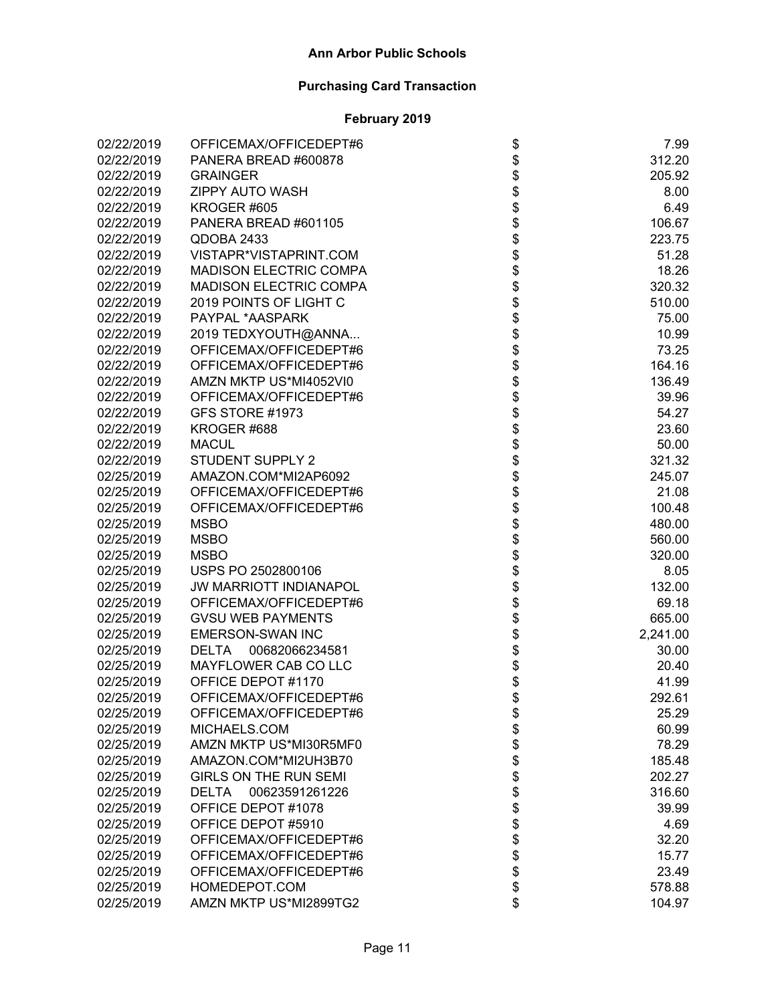| 02/22/2019 | OFFICEMAX/OFFICEDEPT#6         |                                      | 7.99     |
|------------|--------------------------------|--------------------------------------|----------|
| 02/22/2019 | PANERA BREAD #600878           |                                      | 312.20   |
| 02/22/2019 | <b>GRAINGER</b>                |                                      | 205.92   |
| 02/22/2019 | <b>ZIPPY AUTO WASH</b>         |                                      | 8.00     |
| 02/22/2019 | KROGER #605                    |                                      | 6.49     |
| 02/22/2019 | PANERA BREAD #601105           |                                      | 106.67   |
| 02/22/2019 | QDOBA 2433                     |                                      | 223.75   |
| 02/22/2019 | VISTAPR*VISTAPRINT.COM         |                                      | 51.28    |
| 02/22/2019 | <b>MADISON ELECTRIC COMPA</b>  |                                      | 18.26    |
| 02/22/2019 | <b>MADISON ELECTRIC COMPA</b>  |                                      | 320.32   |
| 02/22/2019 | 2019 POINTS OF LIGHT C         |                                      | 510.00   |
| 02/22/2019 | PAYPAL *AASPARK                |                                      | 75.00    |
| 02/22/2019 | 2019 TEDXYOUTH@ANNA            |                                      | 10.99    |
| 02/22/2019 | OFFICEMAX/OFFICEDEPT#6         |                                      | 73.25    |
| 02/22/2019 | OFFICEMAX/OFFICEDEPT#6         |                                      | 164.16   |
| 02/22/2019 | AMZN MKTP US*MI4052VI0         |                                      | 136.49   |
| 02/22/2019 | OFFICEMAX/OFFICEDEPT#6         |                                      | 39.96    |
| 02/22/2019 | GFS STORE #1973                | ֍֎֍֍֍֍֍֍֍֍֍֍֍֍֍֍֍֍֍֍֍֍֍֍֍֍֍֍֍֍֍֍֍֍֍֍ | 54.27    |
| 02/22/2019 | KROGER #688                    |                                      | 23.60    |
| 02/22/2019 | <b>MACUL</b>                   |                                      | 50.00    |
| 02/22/2019 | <b>STUDENT SUPPLY 2</b>        |                                      | 321.32   |
| 02/25/2019 | AMAZON.COM*MI2AP6092           |                                      | 245.07   |
| 02/25/2019 | OFFICEMAX/OFFICEDEPT#6         |                                      | 21.08    |
| 02/25/2019 | OFFICEMAX/OFFICEDEPT#6         |                                      | 100.48   |
| 02/25/2019 | <b>MSBO</b>                    |                                      | 480.00   |
| 02/25/2019 | <b>MSBO</b>                    |                                      | 560.00   |
| 02/25/2019 | <b>MSBO</b>                    |                                      | 320.00   |
| 02/25/2019 | USPS PO 2502800106             |                                      | 8.05     |
| 02/25/2019 | <b>JW MARRIOTT INDIANAPOL</b>  |                                      | 132.00   |
| 02/25/2019 | OFFICEMAX/OFFICEDEPT#6         |                                      | 69.18    |
| 02/25/2019 | <b>GVSU WEB PAYMENTS</b>       |                                      | 665.00   |
| 02/25/2019 | <b>EMERSON-SWAN INC</b>        |                                      | 2,241.00 |
| 02/25/2019 | DELTA 00682066234581           |                                      | 30.00    |
| 02/25/2019 | MAYFLOWER CAB CO LLC           |                                      | 20.40    |
| 02/25/2019 | OFFICE DEPOT #1170             |                                      | 41.99    |
| 02/25/2019 | OFFICEMAX/OFFICEDEPT#6         |                                      | 292.61   |
| 02/25/2019 | OFFICEMAX/OFFICEDEPT#6         |                                      | 25.29    |
| 02/25/2019 | MICHAELS.COM                   |                                      | 60.99    |
| 02/25/2019 | AMZN MKTP US*MI30R5MF0         |                                      | 78.29    |
| 02/25/2019 | AMAZON.COM*MI2UH3B70           |                                      | 185.48   |
| 02/25/2019 | <b>GIRLS ON THE RUN SEMI</b>   |                                      | 202.27   |
| 02/25/2019 | 00623591261226<br><b>DELTA</b> |                                      | 316.60   |
| 02/25/2019 | OFFICE DEPOT #1078             |                                      | 39.99    |
| 02/25/2019 | OFFICE DEPOT #5910             |                                      | 4.69     |
| 02/25/2019 | OFFICEMAX/OFFICEDEPT#6         | <b>8 8 9 8 9 8 9 8 9 8 9 8 9</b>     | 32.20    |
| 02/25/2019 | OFFICEMAX/OFFICEDEPT#6         |                                      | 15.77    |
| 02/25/2019 | OFFICEMAX/OFFICEDEPT#6         |                                      | 23.49    |
| 02/25/2019 | HOMEDEPOT.COM                  |                                      | 578.88   |
| 02/25/2019 | AMZN MKTP US*MI2899TG2         |                                      | 104.97   |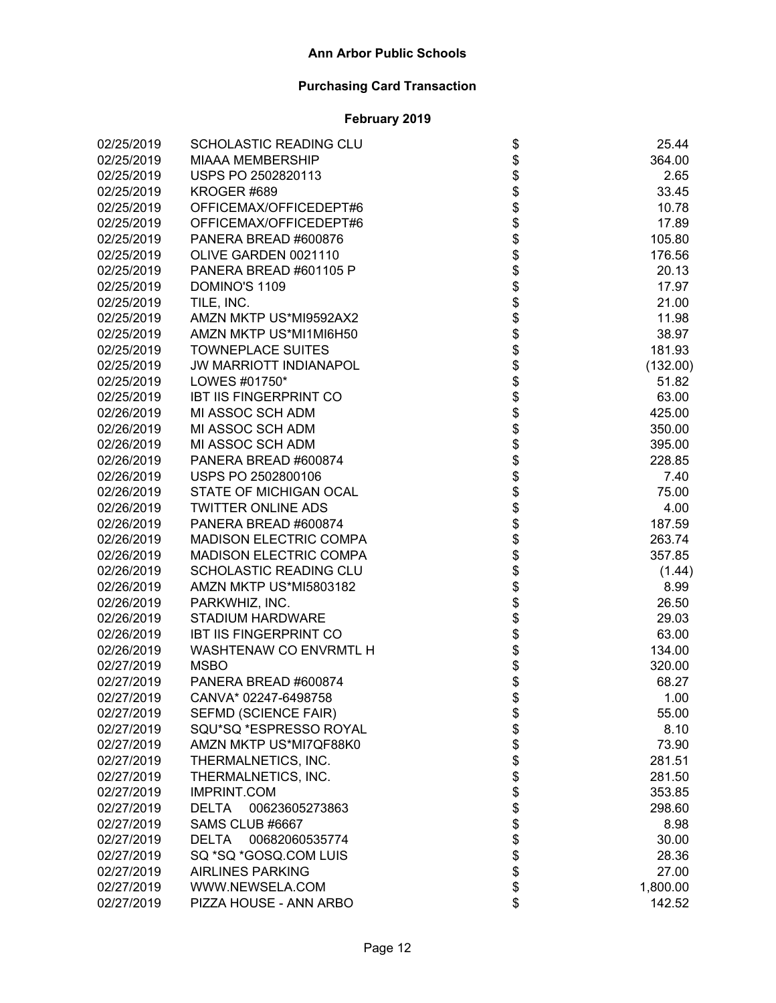| 02/25/2019 | <b>SCHOLASTIC READING CLU</b>  |                              | 25.44    |
|------------|--------------------------------|------------------------------|----------|
| 02/25/2019 | <b>MIAAA MEMBERSHIP</b>        |                              | 364.00   |
| 02/25/2019 | USPS PO 2502820113             |                              | 2.65     |
| 02/25/2019 | KROGER #689                    |                              | 33.45    |
| 02/25/2019 | OFFICEMAX/OFFICEDEPT#6         |                              | 10.78    |
| 02/25/2019 | OFFICEMAX/OFFICEDEPT#6         |                              | 17.89    |
| 02/25/2019 | PANERA BREAD #600876           |                              | 105.80   |
| 02/25/2019 | OLIVE GARDEN 0021110           |                              | 176.56   |
| 02/25/2019 | PANERA BREAD #601105 P         |                              | 20.13    |
| 02/25/2019 | DOMINO'S 1109                  |                              | 17.97    |
| 02/25/2019 | TILE, INC.                     |                              | 21.00    |
| 02/25/2019 | AMZN MKTP US*MI9592AX2         |                              | 11.98    |
| 02/25/2019 | AMZN MKTP US*MI1MI6H50         |                              | 38.97    |
| 02/25/2019 | <b>TOWNEPLACE SUITES</b>       |                              | 181.93   |
| 02/25/2019 | <b>JW MARRIOTT INDIANAPOL</b>  |                              | (132.00) |
| 02/25/2019 | LOWES #01750*                  |                              | 51.82    |
| 02/25/2019 | <b>IBT IIS FINGERPRINT CO</b>  |                              | 63.00    |
| 02/26/2019 | MI ASSOC SCH ADM               |                              | 425.00   |
| 02/26/2019 | MI ASSOC SCH ADM               |                              | 350.00   |
| 02/26/2019 | MI ASSOC SCH ADM               |                              | 395.00   |
| 02/26/2019 | PANERA BREAD #600874           |                              | 228.85   |
| 02/26/2019 | USPS PO 2502800106             |                              | 7.40     |
| 02/26/2019 | STATE OF MICHIGAN OCAL         |                              | 75.00    |
| 02/26/2019 | <b>TWITTER ONLINE ADS</b>      |                              | 4.00     |
| 02/26/2019 | PANERA BREAD #600874           |                              | 187.59   |
| 02/26/2019 | <b>MADISON ELECTRIC COMPA</b>  |                              | 263.74   |
| 02/26/2019 | <b>MADISON ELECTRIC COMPA</b>  |                              | 357.85   |
| 02/26/2019 | SCHOLASTIC READING CLU         |                              | (1.44)   |
| 02/26/2019 | AMZN MKTP US*MI5803182         |                              | 8.99     |
| 02/26/2019 | PARKWHIZ, INC.                 |                              | 26.50    |
| 02/26/2019 | <b>STADIUM HARDWARE</b>        |                              | 29.03    |
| 02/26/2019 | <b>IBT IIS FINGERPRINT CO</b>  |                              | 63.00    |
| 02/26/2019 | WASHTENAW CO ENVRMTL H         |                              | 134.00   |
| 02/27/2019 | <b>MSBO</b>                    |                              | 320.00   |
| 02/27/2019 | PANERA BREAD #600874           |                              | 68.27    |
| 02/27/2019 | CANVA* 02247-6498758           |                              | 1.00     |
| 02/27/2019 | <b>SEFMD (SCIENCE FAIR)</b>    |                              | 55.00    |
| 02/27/2019 | SQU*SQ *ESPRESSO ROYAL         |                              | 8.10     |
| 02/27/2019 | AMZN MKTP US*MI7QF88K0         |                              | 73.90    |
| 02/27/2019 | THERMALNETICS, INC.            |                              | 281.51   |
| 02/27/2019 | THERMALNETICS, INC.            |                              | 281.50   |
| 02/27/2019 | <b>IMPRINT.COM</b>             |                              | 353.85   |
| 02/27/2019 | <b>DELTA</b><br>00623605273863 |                              | 298.60   |
| 02/27/2019 | SAMS CLUB #6667                |                              | 8.98     |
| 02/27/2019 | DELTA 00682060535774           |                              | 30.00    |
| 02/27/2019 | SQ *SQ *GOSQ.COM LUIS          | \$\$\$\$\$\$\$\$\$\$\$\$\$\$ | 28.36    |
| 02/27/2019 | <b>AIRLINES PARKING</b>        |                              | 27.00    |
| 02/27/2019 | WWW.NEWSELA.COM                |                              | 1,800.00 |
| 02/27/2019 | PIZZA HOUSE - ANN ARBO         |                              | 142.52   |